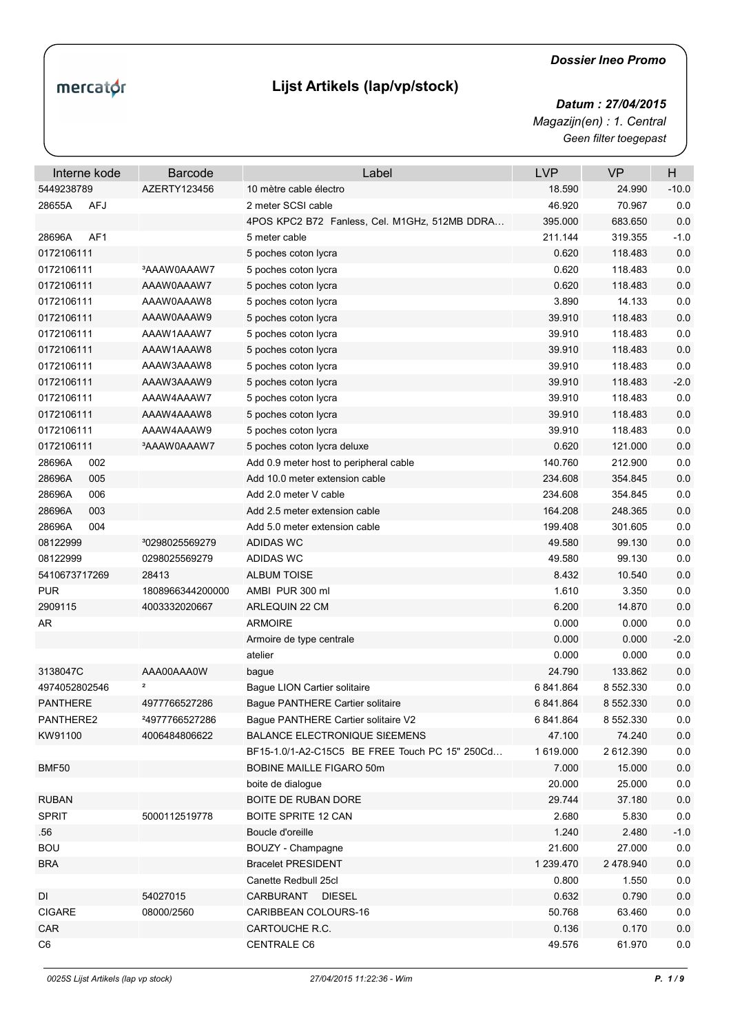## mercator

## **Lijst Artikels (lap/vp/stock)**

## *Dossier Ineo Promo*

*Geen filter toegepast Datum : 27/04/2015 Magazijn(en) : 1. Central*

| Interne kode              | <b>Barcode</b>             | Label                                          | <b>LVP</b> | <b>VP</b> | H       |
|---------------------------|----------------------------|------------------------------------------------|------------|-----------|---------|
| 5449238789                | AZERTY123456               | 10 mètre cable électro                         | 18.590     | 24.990    | $-10.0$ |
| <b>AFJ</b><br>28655A      |                            | 2 meter SCSI cable                             | 46.920     | 70.967    | 0.0     |
|                           |                            | 4POS KPC2 B72 Fanless, Cel. M1GHz, 512MB DDRA  | 395.000    | 683.650   | 0.0     |
| AF <sub>1</sub><br>28696A |                            | 5 meter cable                                  | 211.144    | 319.355   | $-1.0$  |
| 0172106111                |                            | 5 poches coton lycra                           | 0.620      | 118.483   | 0.0     |
| 0172106111                | <sup>3</sup> AAAW0AAAW7    | 5 poches coton lycra                           | 0.620      | 118.483   | 0.0     |
| 0172106111                | AAAW0AAAW7                 | 5 poches coton lycra                           | 0.620      | 118.483   | 0.0     |
| 0172106111                | AAAW0AAAW8                 | 5 poches coton lycra                           | 3.890      | 14.133    | 0.0     |
| 0172106111                | AAAW0AAAW9                 | 5 poches coton lycra                           | 39.910     | 118.483   | 0.0     |
| 0172106111                | AAAW1AAAW7                 | 5 poches coton lycra                           | 39.910     | 118.483   | 0.0     |
| 0172106111                | AAAW1AAAW8                 | 5 poches coton lycra                           | 39.910     | 118.483   | 0.0     |
| 0172106111                | AAAW3AAAW8                 | 5 poches coton lycra                           | 39.910     | 118.483   | 0.0     |
| 0172106111                | AAAW3AAAW9                 | 5 poches coton lycra                           | 39.910     | 118.483   | $-2.0$  |
| 0172106111                | AAAW4AAAW7                 | 5 poches coton lycra                           | 39.910     | 118.483   | 0.0     |
| 0172106111                | AAAW4AAAW8                 | 5 poches coton lycra                           | 39.910     | 118.483   | 0.0     |
| 0172106111                | RAAW4AAAW9                 | 5 poches coton lycra                           | 39.910     | 118.483   | 0.0     |
| 0172106111                | <sup>3</sup> AAAW0AAAW7    | 5 poches coton lycra deluxe                    | 0.620      | 121.000   | 0.0     |
| 28696A<br>002             |                            | Add 0.9 meter host to peripheral cable         | 140.760    | 212.900   | 0.0     |
| 005<br>28696A             |                            | Add 10.0 meter extension cable                 | 234.608    | 354.845   | 0.0     |
| 28696A<br>006             |                            | Add 2.0 meter V cable                          | 234.608    | 354.845   | 0.0     |
| 28696A<br>003             |                            | Add 2.5 meter extension cable                  | 164.208    | 248.365   | 0.0     |
| 28696A<br>004             |                            | Add 5.0 meter extension cable                  | 199.408    | 301.605   | 0.0     |
| 08122999                  | <sup>3</sup> 0298025569279 | ADIDAS WC                                      | 49.580     | 99.130    | 0.0     |
| 08122999                  | 0298025569279              | ADIDAS WC                                      | 49.580     | 99.130    | 0.0     |
| 5410673717269             | 28413                      | <b>ALBUM TOISE</b>                             | 8.432      | 10.540    | 0.0     |
| <b>PUR</b>                | 1808966344200000           | AMBI PUR 300 ml                                | 1.610      | 3.350     | 0.0     |
| 2909115                   | 4003332020667              | ARLEQUIN 22 CM                                 | 6.200      | 14.870    | 0.0     |
| AR                        |                            | <b>ARMOIRE</b>                                 | 0.000      | 0.000     | 0.0     |
|                           |                            | Armoire de type centrale                       | 0.000      | 0.000     | $-2.0$  |
|                           |                            | atelier                                        | 0.000      | 0.000     | 0.0     |
| 3138047C                  | AAA00AAA0W                 | bague                                          | 24.790     | 133.862   | 0.0     |
| 4974052802546             | 2                          | Baque LION Cartier solitaire                   | 6 841.864  | 8 552.330 | 0.0     |
| <b>PANTHERE</b>           | 4977766527286              | Bague PANTHERE Cartier solitaire               | 6 841.864  | 8 552.330 | 0.0     |
| PANTHERE2                 | <sup>2</sup> 4977766527286 | Baque PANTHERE Cartier solitaire V2            | 6 841.864  | 8 552 330 | 0.0     |
| KW91100                   | 4006484806622              | <b>BALANCE ELECTRONIQUE SI£EMENS</b>           | 47.100     | 74.240    | $0.0\,$ |
|                           |                            | BF15-1.0/1-A2-C15C5 BE FREE Touch PC 15" 250Cd | 1 619.000  | 2 612.390 | $0.0\,$ |
| <b>BMF50</b>              |                            | BOBINE MAILLE FIGARO 50m                       | 7.000      | 15.000    | $0.0\,$ |
|                           |                            | boite de dialogue                              | 20.000     | 25.000    | $0.0\,$ |
| <b>RUBAN</b>              |                            | BOITE DE RUBAN DORE                            | 29.744     | 37.180    | 0.0     |
| <b>SPRIT</b>              | 5000112519778              | <b>BOITE SPRITE 12 CAN</b>                     | 2.680      | 5.830     | $0.0\,$ |
| .56                       |                            | Boucle d'oreille                               | 1.240      | 2.480     | $-1.0$  |
| <b>BOU</b>                |                            | BOUZY - Champagne                              | 21.600     | 27.000    | 0.0     |
| <b>BRA</b>                |                            | <b>Bracelet PRESIDENT</b>                      | 1 239.470  | 2 478.940 | $0.0\,$ |
|                           |                            | Canette Redbull 25cl                           | 0.800      | 1.550     | 0.0     |
| DI                        | 54027015                   | CARBURANT<br><b>DIESEL</b>                     | 0.632      | 0.790     | $0.0\,$ |
| <b>CIGARE</b>             | 08000/2560                 | CARIBBEAN COLOURS-16                           | 50.768     | 63.460    | $0.0\,$ |
| CAR                       |                            | CARTOUCHE R.C.                                 | 0.136      | 0.170     | $0.0\,$ |
|                           |                            |                                                | 49.576     | 61.970    |         |
| C6                        |                            | <b>CENTRALE C6</b>                             |            |           | 0.0     |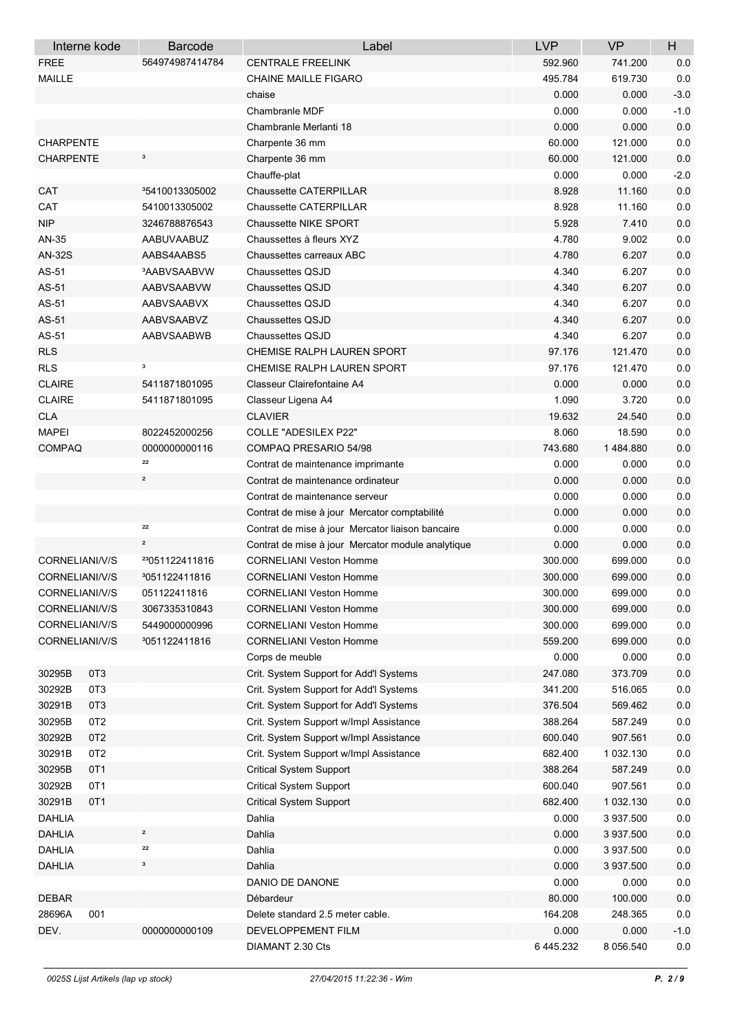|                  | Interne kode    | <b>Barcode</b>             | Label                                             | <b>LVP</b> | <b>VP</b> | $\boldsymbol{\mathsf{H}}$ |
|------------------|-----------------|----------------------------|---------------------------------------------------|------------|-----------|---------------------------|
| <b>FREE</b>      |                 | 564974987414784            | <b>CENTRALE FREELINK</b>                          | 592.960    | 741.200   | 0.0                       |
| <b>MAILLE</b>    |                 |                            | <b>CHAINE MAILLE FIGARO</b>                       | 495.784    | 619.730   | 0.0                       |
|                  |                 |                            | chaise                                            | 0.000      | 0.000     | $-3.0$                    |
|                  |                 |                            | Chambranle MDF                                    | 0.000      | 0.000     | $-1.0$                    |
|                  |                 |                            | Chambranle Merlanti 18                            | 0.000      | 0.000     | 0.0                       |
| <b>CHARPENTE</b> |                 |                            | Charpente 36 mm                                   | 60.000     | 121.000   | $0.0\,$                   |
| <b>CHARPENTE</b> |                 | 3                          | Charpente 36 mm                                   | 60.000     | 121.000   | 0.0                       |
|                  |                 |                            | Chauffe-plat                                      | 0.000      | 0.000     | $-2.0$                    |
| CAT              |                 | <sup>3</sup> 5410013305002 | <b>Chaussette CATERPILLAR</b>                     | 8.928      | 11.160    | 0.0                       |
| CAT              |                 | 5410013305002              | <b>Chaussette CATERPILLAR</b>                     | 8.928      | 11.160    | 0.0                       |
| <b>NIP</b>       |                 | 3246788876543              | <b>Chaussette NIKE SPORT</b>                      | 5.928      | 7.410     | $0.0\,$                   |
| AN-35            |                 | AABUVAABUZ                 | Chaussettes à fleurs XYZ                          | 4.780      | 9.002     | 0.0                       |
| <b>AN-32S</b>    |                 | AABS4AABS5                 | Chaussettes carreaux ABC                          | 4.780      | 6.207     | $0.0\,$                   |
| AS-51            |                 | <b>AABVSAABVW</b>          | <b>Chaussettes QSJD</b>                           | 4.340      | 6.207     | $0.0\,$                   |
| AS-51            |                 | AABVSAABVW                 | <b>Chaussettes QSJD</b>                           | 4.340      | 6.207     | 0.0                       |
| AS-51            |                 | <b>AABVSAABVX</b>          | <b>Chaussettes QSJD</b>                           | 4.340      | 6.207     | $0.0\,$                   |
| AS-51            |                 | AABVSAABVZ                 | <b>Chaussettes QSJD</b>                           | 4.340      | 6.207     | 0.0                       |
| AS-51            |                 | <b>AABVSAABWB</b>          | <b>Chaussettes QSJD</b>                           | 4.340      | 6.207     | $0.0\,$                   |
| <b>RLS</b>       |                 |                            | <b>CHEMISE RALPH LAUREN SPORT</b>                 | 97.176     | 121.470   | 0.0                       |
| <b>RLS</b>       |                 | з                          | <b>CHEMISE RALPH LAUREN SPORT</b>                 | 97.176     | 121.470   | 0.0                       |
| <b>CLAIRE</b>    |                 | 5411871801095              | Classeur Clairefontaine A4                        | 0.000      | 0.000     | $0.0\,$                   |
| <b>CLAIRE</b>    |                 | 5411871801095              | Classeur Ligena A4                                | 1.090      | 3.720     | $0.0\,$                   |
| <b>CLA</b>       |                 |                            | <b>CLAVIER</b>                                    | 19.632     | 24.540    | 0.0                       |
| <b>MAPEI</b>     |                 | 8022452000256              | <b>COLLE "ADESILEX P22"</b>                       | 8.060      | 18.590    | $0.0\,$                   |
| <b>COMPAQ</b>    |                 | 0000000000116              | COMPAQ PRESARIO 54/98                             | 743.680    | 1484.880  | $0.0\,$                   |
|                  |                 | 22                         | Contrat de maintenance imprimante                 | 0.000      | 0.000     | $0.0\,$                   |
|                  |                 | $\mathbf{z}$               | Contrat de maintenance ordinateur                 | 0.000      | 0.000     | $0.0\,$                   |
|                  |                 |                            | Contrat de maintenance serveur                    | 0.000      | 0.000     | 0.0                       |
|                  |                 |                            | Contrat de mise à jour Mercator comptabilité      | 0.000      | 0.000     | 0.0                       |
|                  |                 | 22                         | Contrat de mise à jour Mercator liaison bancaire  | 0.000      | 0.000     | 0.0                       |
|                  |                 | $\mathbf{z}$               | Contrat de mise à jour Mercator module analytique | 0.000      | 0.000     | $0.0\,$                   |
| CORNELIANI/V/S   |                 | 23051122411816             | <b>CORNELIANI Veston Homme</b>                    | 300.000    | 699.000   | $0.0\,$                   |
| CORNELIANI/V/S   |                 | <sup>3</sup> 051122411816  | <b>CORNELIANI Veston Homme</b>                    | 300.000    | 699.000   | $0.0\,$                   |
| CORNELIANI/V/S   |                 | 051122411816               | <b>CORNELIANI Veston Homme</b>                    | 300.000    | 699.000   | 0.0                       |
| CORNELIANI/V/S   |                 | 3067335310843              | <b>CORNELIANI Veston Homme</b>                    | 300.000    | 699.000   | $0.0\,$                   |
| CORNELIANI/V/S   |                 | 5449000000996              | <b>CORNELIANI Veston Homme</b>                    | 300.000    | 699.000   | $0.0\,$                   |
| CORNELIANI/V/S   |                 | <sup>3</sup> 051122411816  | <b>CORNELIANI Veston Homme</b>                    | 559.200    | 699.000   | $0.0\,$                   |
|                  |                 |                            | Corps de meuble                                   | 0.000      | 0.000     | $0.0\,$                   |
| 30295B           | OT <sub>3</sub> |                            | Crit. System Support for Add'l Systems            | 247.080    | 373.709   | $0.0\,$                   |
| 30292B           | OT3             |                            | Crit. System Support for Add'l Systems            | 341.200    | 516.065   | $0.0\,$                   |
| 30291B           | OT <sub>3</sub> |                            | Crit. System Support for Add'l Systems            | 376.504    | 569.462   | $0.0\,$                   |
| 30295B           | OT <sub>2</sub> |                            | Crit. System Support w/Impl Assistance            | 388.264    | 587.249   | $0.0\,$                   |
| 30292B           | OT <sub>2</sub> |                            | Crit. System Support w/Impl Assistance            | 600.040    | 907.561   | $0.0\,$                   |
| 30291B           | OT <sub>2</sub> |                            | Crit. System Support w/Impl Assistance            | 682.400    | 1 032.130 | $0.0\,$                   |
| 30295B           | OT <sub>1</sub> |                            | <b>Critical System Support</b>                    | 388.264    | 587.249   | $0.0\,$                   |
| 30292B           | OT <sub>1</sub> |                            | Critical System Support                           | 600.040    | 907.561   | $0.0\,$                   |
| 30291B           | OT <sub>1</sub> |                            | <b>Critical System Support</b>                    | 682.400    | 1 032.130 | $0.0\,$                   |
| <b>DAHLIA</b>    |                 |                            | Dahlia                                            | 0.000      | 3 937.500 | $0.0\,$                   |
| <b>DAHLIA</b>    |                 | $\mathbf{2}$               | Dahlia                                            | 0.000      | 3 937.500 | $0.0\,$                   |
| DAHLIA           |                 | 22                         | Dahlia                                            | 0.000      | 3 937.500 | $0.0\,$                   |
| <b>DAHLIA</b>    |                 | 3                          | Dahlia                                            | 0.000      | 3 937.500 | $0.0\,$                   |
|                  |                 |                            | DANIO DE DANONE                                   | 0.000      | 0.000     | $0.0\,$                   |
| <b>DEBAR</b>     |                 |                            | Débardeur                                         | 80.000     | 100.000   | $0.0\,$                   |
| 28696A           | 001             |                            | Delete standard 2.5 meter cable.                  | 164.208    | 248.365   | $0.0\,$                   |
| DEV.             |                 | 0000000000109              | DEVELOPPEMENT FILM                                | 0.000      | 0.000     | $-1.0$                    |
|                  |                 |                            | DIAMANT 2.30 Cts                                  | 6 445.232  | 8 056.540 | 0.0                       |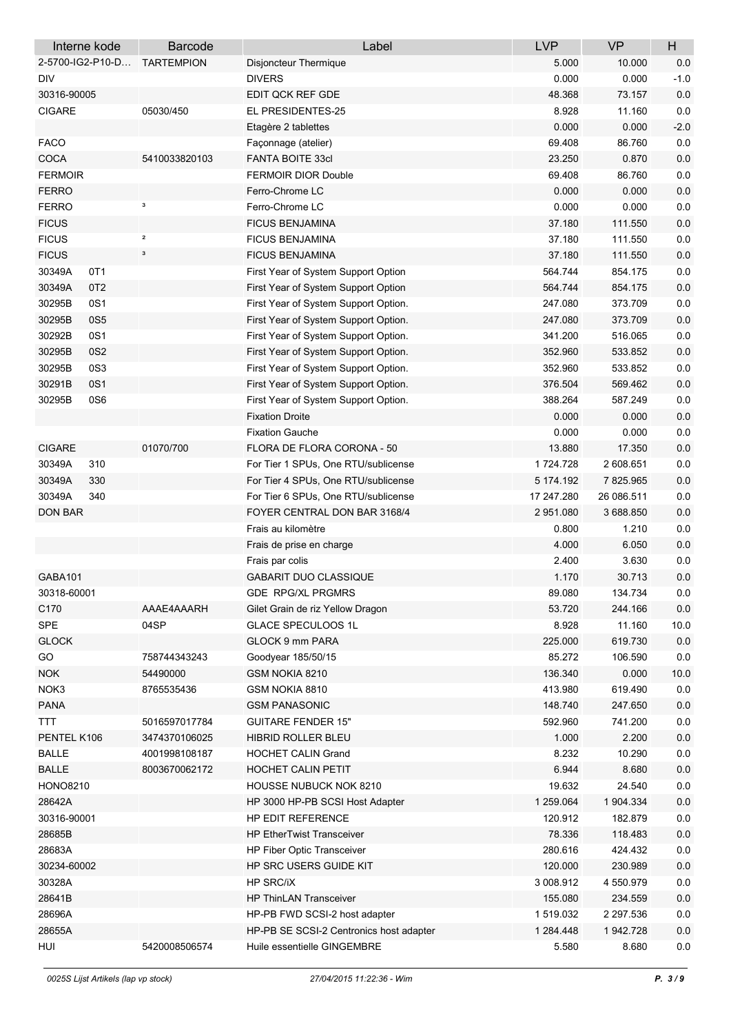| Interne kode              | <b>Barcode</b>                                                                                                                                                                                                                                                                                                                                                                                                          | Label                                           | <b>LVP</b>      | <b>VP</b>  | H       |
|---------------------------|-------------------------------------------------------------------------------------------------------------------------------------------------------------------------------------------------------------------------------------------------------------------------------------------------------------------------------------------------------------------------------------------------------------------------|-------------------------------------------------|-----------------|------------|---------|
| 2-5700-IG2-P10-D          | <b>TARTEMPION</b>                                                                                                                                                                                                                                                                                                                                                                                                       | Disjoncteur Thermique                           | 5.000           | 10.000     | 0.0     |
| <b>DIV</b>                |                                                                                                                                                                                                                                                                                                                                                                                                                         | <b>DIVERS</b>                                   | 0.000           | 0.000      | $-1.0$  |
| 30316-90005               |                                                                                                                                                                                                                                                                                                                                                                                                                         | EDIT QCK REF GDE                                | 48.368          | 73.157     | 0.0     |
| <b>CIGARE</b>             | 05030/450                                                                                                                                                                                                                                                                                                                                                                                                               | EL PRESIDENTES-25                               | 8.928           | 11.160     | 0.0     |
|                           |                                                                                                                                                                                                                                                                                                                                                                                                                         | Etagère 2 tablettes                             | 0.000           | 0.000      | $-2.0$  |
| <b>FACO</b>               |                                                                                                                                                                                                                                                                                                                                                                                                                         | Façonnage (atelier)                             | 69.408          | 86.760     | 0.0     |
| COCA                      | 5410033820103                                                                                                                                                                                                                                                                                                                                                                                                           | <b>FANTA BOITE 33cl</b>                         | 23.250          | 0.870      | 0.0     |
| <b>FERMOIR</b>            |                                                                                                                                                                                                                                                                                                                                                                                                                         | <b>FERMOIR DIOR Double</b>                      | 69.408          | 86.760     | $0.0\,$ |
| <b>FERRO</b>              |                                                                                                                                                                                                                                                                                                                                                                                                                         | Ferro-Chrome LC                                 | 0.000           | 0.000      | $0.0\,$ |
| <b>FERRO</b>              | з                                                                                                                                                                                                                                                                                                                                                                                                                       | Ferro-Chrome LC                                 | 0.000           | 0.000      | $0.0\,$ |
| <b>FICUS</b>              |                                                                                                                                                                                                                                                                                                                                                                                                                         | <b>FICUS BENJAMINA</b>                          | 37.180          | 111.550    | 0.0     |
| <b>FICUS</b>              | $\mathbf{2}% =\mathbf{2}+\mathbf{2}+\mathbf{3}+\mathbf{5}+\mathbf{5}+\mathbf{5}+\mathbf{6}+\mathbf{6}+\mathbf{5}+\mathbf{5}+\mathbf{6}+\mathbf{6}+\mathbf{5}+\mathbf{6}+\mathbf{6}+\mathbf{5}+\mathbf{5}+\mathbf{6}+\mathbf{6}+\mathbf{6}+\mathbf{5}+\mathbf{5}+\mathbf{6}+\mathbf{6}+\mathbf{6}+\mathbf{6}+\mathbf{6}+\mathbf{6}+\mathbf{6}+\mathbf{6}+\mathbf{6}+\mathbf{6}+\mathbf{6}+\mathbf{6}+\mathbf{6}+\mathbf$ | <b>FICUS BENJAMINA</b>                          | 37.180          | 111.550    | 0.0     |
| <b>FICUS</b>              | $\mathbf 3$                                                                                                                                                                                                                                                                                                                                                                                                             | <b>FICUS BENJAMINA</b>                          | 37.180          | 111.550    | $0.0\,$ |
| 30349A<br>OT <sub>1</sub> |                                                                                                                                                                                                                                                                                                                                                                                                                         | First Year of System Support Option             | 564.744         | 854.175    | 0.0     |
| OT <sub>2</sub><br>30349A |                                                                                                                                                                                                                                                                                                                                                                                                                         | First Year of System Support Option             | 564.744         | 854.175    | 0.0     |
| 30295B<br>0S1             |                                                                                                                                                                                                                                                                                                                                                                                                                         | First Year of System Support Option.            | 247.080         | 373.709    | $0.0\,$ |
| 30295B<br>0S5             |                                                                                                                                                                                                                                                                                                                                                                                                                         | First Year of System Support Option.            | 247.080         | 373.709    | 0.0     |
| 30292B<br>0S1             |                                                                                                                                                                                                                                                                                                                                                                                                                         | First Year of System Support Option.            | 341.200         | 516.065    | 0.0     |
| 30295B<br>0S2             |                                                                                                                                                                                                                                                                                                                                                                                                                         | First Year of System Support Option.            | 352.960         | 533.852    | $0.0\,$ |
| 30295B<br>0S3             |                                                                                                                                                                                                                                                                                                                                                                                                                         | First Year of System Support Option.            | 352.960         | 533.852    | 0.0     |
| 30291B<br>0S1             |                                                                                                                                                                                                                                                                                                                                                                                                                         | First Year of System Support Option.            | 376.504         | 569.462    | 0.0     |
| 30295B<br>0S6             |                                                                                                                                                                                                                                                                                                                                                                                                                         | First Year of System Support Option.            | 388.264         | 587.249    | $0.0\,$ |
|                           |                                                                                                                                                                                                                                                                                                                                                                                                                         | <b>Fixation Droite</b>                          | 0.000           | 0.000      | 0.0     |
|                           |                                                                                                                                                                                                                                                                                                                                                                                                                         | <b>Fixation Gauche</b>                          | 0.000           | 0.000      | $0.0\,$ |
| <b>CIGARE</b>             | 01070/700                                                                                                                                                                                                                                                                                                                                                                                                               | FLORA DE FLORA CORONA - 50                      | 13.880          | 17.350     | 0.0     |
| 30349A<br>310             |                                                                                                                                                                                                                                                                                                                                                                                                                         | For Tier 1 SPUs, One RTU/sublicense             | 1724.728        | 2 608 651  | $0.0\,$ |
| 30349A<br>330             |                                                                                                                                                                                                                                                                                                                                                                                                                         | For Tier 4 SPUs, One RTU/sublicense             | 5 174 192       | 7825.965   | $0.0\,$ |
| 30349A<br>340             |                                                                                                                                                                                                                                                                                                                                                                                                                         | For Tier 6 SPUs, One RTU/sublicense             | 17 247.280      | 26 086.511 | 0.0     |
| <b>DON BAR</b>            |                                                                                                                                                                                                                                                                                                                                                                                                                         | FOYER CENTRAL DON BAR 3168/4                    | 2951.080        | 3 688 850  | 0.0     |
|                           |                                                                                                                                                                                                                                                                                                                                                                                                                         | Frais au kilomètre                              | 0.800           | 1.210      | 0.0     |
|                           |                                                                                                                                                                                                                                                                                                                                                                                                                         |                                                 | 4.000           | 6.050      | $0.0\,$ |
|                           |                                                                                                                                                                                                                                                                                                                                                                                                                         | Frais de prise en charge                        |                 |            | $0.0\,$ |
|                           |                                                                                                                                                                                                                                                                                                                                                                                                                         | Frais par colis<br><b>GABARIT DUO CLASSIQUE</b> | 2.400           | 3.630      |         |
| GABA101                   |                                                                                                                                                                                                                                                                                                                                                                                                                         | <b>GDE RPG/XL PRGMRS</b>                        | 1.170<br>89.080 | 30.713     | 0.0     |
| 30318-60001               |                                                                                                                                                                                                                                                                                                                                                                                                                         |                                                 |                 | 134.734    | $0.0\,$ |
| C170                      | AAAE4AAARH                                                                                                                                                                                                                                                                                                                                                                                                              | Gilet Grain de riz Yellow Dragon                | 53.720          | 244.166    | $0.0\,$ |
| SPE                       | 04SP                                                                                                                                                                                                                                                                                                                                                                                                                    | <b>GLACE SPECULOOS 1L</b>                       | 8.928           | 11.160     | 10.0    |
| <b>GLOCK</b>              |                                                                                                                                                                                                                                                                                                                                                                                                                         | <b>GLOCK 9 mm PARA</b>                          | 225.000         | 619.730    | $0.0\,$ |
| GO                        | 758744343243                                                                                                                                                                                                                                                                                                                                                                                                            | Goodyear 185/50/15                              | 85.272          | 106.590    | $0.0\,$ |
| <b>NOK</b>                | 54490000                                                                                                                                                                                                                                                                                                                                                                                                                | GSM NOKIA 8210                                  | 136.340         | 0.000      | 10.0    |
| NOK3                      | 8765535436                                                                                                                                                                                                                                                                                                                                                                                                              | GSM NOKIA 8810                                  | 413.980         | 619.490    | 0.0     |
| <b>PANA</b>               |                                                                                                                                                                                                                                                                                                                                                                                                                         | <b>GSM PANASONIC</b>                            | 148.740         | 247.650    | $0.0\,$ |
| <b>TTT</b>                | 5016597017784                                                                                                                                                                                                                                                                                                                                                                                                           | <b>GUITARE FENDER 15"</b>                       | 592.960         | 741.200    | $0.0\,$ |
| PENTEL K106               | 3474370106025                                                                                                                                                                                                                                                                                                                                                                                                           | HIBRID ROLLER BLEU                              | 1.000           | 2.200      | $0.0\,$ |
| <b>BALLE</b>              | 4001998108187                                                                                                                                                                                                                                                                                                                                                                                                           | <b>HOCHET CALIN Grand</b>                       | 8.232           | 10.290     | $0.0\,$ |
| <b>BALLE</b>              | 8003670062172                                                                                                                                                                                                                                                                                                                                                                                                           | HOCHET CALIN PETIT                              | 6.944           | 8.680      | $0.0\,$ |
| <b>HONO8210</b>           |                                                                                                                                                                                                                                                                                                                                                                                                                         | HOUSSE NUBUCK NOK 8210                          | 19.632          | 24.540     | $0.0\,$ |
| 28642A                    |                                                                                                                                                                                                                                                                                                                                                                                                                         | HP 3000 HP-PB SCSI Host Adapter                 | 1 259 064       | 1 904.334  | 0.0     |
| 30316-90001               |                                                                                                                                                                                                                                                                                                                                                                                                                         | HP EDIT REFERENCE                               | 120.912         | 182.879    | 0.0     |
| 28685B                    |                                                                                                                                                                                                                                                                                                                                                                                                                         | <b>HP EtherTwist Transceiver</b>                | 78.336          | 118.483    | $0.0\,$ |
| 28683A                    |                                                                                                                                                                                                                                                                                                                                                                                                                         | HP Fiber Optic Transceiver                      | 280.616         | 424.432    | 0.0     |
| 30234-60002               |                                                                                                                                                                                                                                                                                                                                                                                                                         | HP SRC USERS GUIDE KIT                          | 120.000         | 230.989    | $0.0\,$ |
| 30328A                    |                                                                                                                                                                                                                                                                                                                                                                                                                         | <b>HP SRC/iX</b>                                | 3 008 912       | 4 550 979  | $0.0\,$ |
| 28641B                    |                                                                                                                                                                                                                                                                                                                                                                                                                         | <b>HP ThinLAN Transceiver</b>                   | 155.080         | 234.559    | $0.0\,$ |
| 28696A                    |                                                                                                                                                                                                                                                                                                                                                                                                                         | HP-PB FWD SCSI-2 host adapter                   | 1519.032        | 2 297.536  | 0.0     |
| 28655A                    |                                                                                                                                                                                                                                                                                                                                                                                                                         | HP-PB SE SCSI-2 Centronics host adapter         | 1 284.448       | 1 942.728  | 0.0     |
| HUI                       | 5420008506574                                                                                                                                                                                                                                                                                                                                                                                                           | Huile essentielle GINGEMBRE                     | 5.580           | 8.680      | $0.0\,$ |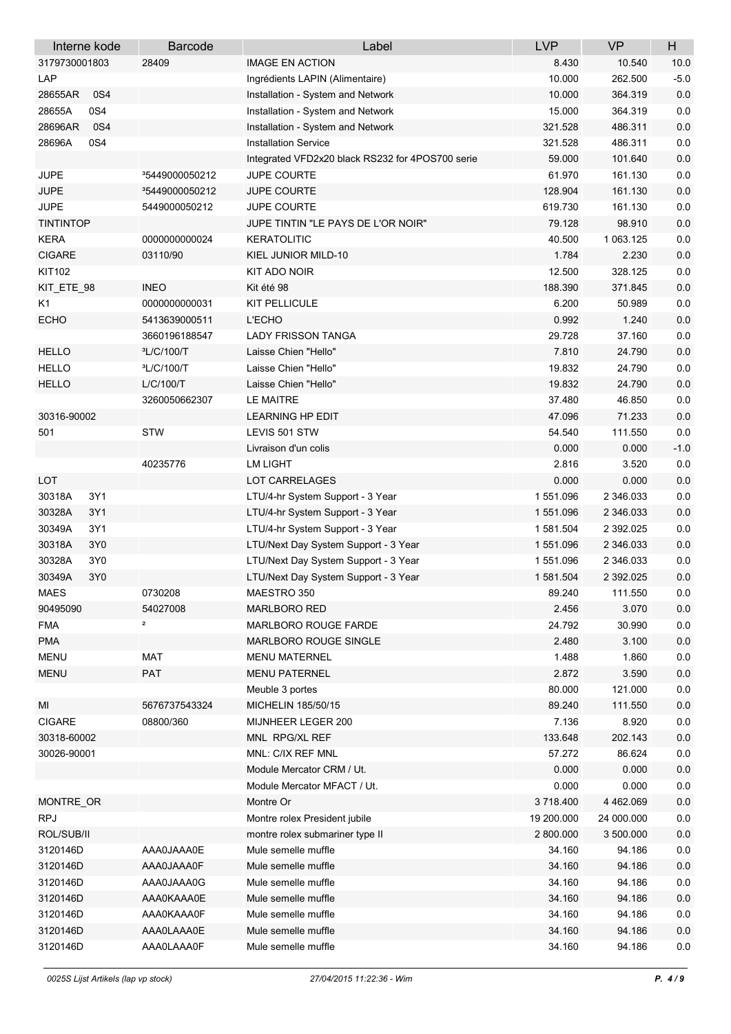|                  | Interne kode | <b>Barcode</b>             | Label                                            | <b>LVP</b> | <b>VP</b>  | $\boldsymbol{\mathsf{H}}$ |
|------------------|--------------|----------------------------|--------------------------------------------------|------------|------------|---------------------------|
| 3179730001803    |              | 28409                      | <b>IMAGE EN ACTION</b>                           | 8.430      | 10.540     | 10.0                      |
| LAP              |              |                            | Ingrédients LAPIN (Alimentaire)                  | 10.000     | 262.500    | $-5.0$                    |
| 28655AR          | 0S4          |                            | Installation - System and Network                | 10.000     | 364.319    | 0.0                       |
| 28655A           | 0S4          |                            | Installation - System and Network                | 15.000     | 364.319    | 0.0                       |
| 28696AR          | 0S4          |                            | Installation - System and Network                | 321.528    | 486.311    | $0.0\,$                   |
| 28696A           | 0S4          |                            | <b>Installation Service</b>                      | 321.528    | 486.311    | 0.0                       |
|                  |              |                            | Integrated VFD2x20 black RS232 for 4POS700 serie | 59.000     | 101.640    | 0.0                       |
| <b>JUPE</b>      |              | <sup>3</sup> 5449000050212 | <b>JUPE COURTE</b>                               | 61.970     | 161.130    | 0.0                       |
| <b>JUPE</b>      |              | <sup>3</sup> 5449000050212 | <b>JUPE COURTE</b>                               | 128.904    | 161.130    | 0.0                       |
| <b>JUPE</b>      |              | 5449000050212              | <b>JUPE COURTE</b>                               | 619.730    | 161.130    | 0.0                       |
| <b>TINTINTOP</b> |              |                            | JUPE TINTIN "LE PAYS DE L'OR NOIR"               | 79.128     | 98.910     | $0.0\,$                   |
| <b>KERA</b>      |              | 000000000024               | <b>KERATOLITIC</b>                               | 40.500     | 1 063.125  | $0.0\,$                   |
| <b>CIGARE</b>    |              | 03110/90                   | KIEL JUNIOR MILD-10                              | 1.784      | 2.230      | 0.0                       |
| KIT102           |              |                            | KIT ADO NOIR                                     | 12.500     | 328.125    | $0.0\,$                   |
| KIT_ETE_98       |              | <b>INEO</b>                | Kit été 98                                       | 188.390    | 371.845    | 0.0                       |
| K1               |              | 0000000000031              | KIT PELLICULE                                    | 6.200      | 50.989     | $0.0\,$                   |
| <b>ECHO</b>      |              | 5413639000511              | <b>L'ECHO</b>                                    | 0.992      | 1.240      | 0.0                       |
|                  |              | 3660196188547              | <b>LADY FRISSON TANGA</b>                        | 29.728     | 37.160     | $0.0\,$                   |
| <b>HELLO</b>     |              | <sup>3</sup> L/C/100/T     | Laisse Chien "Hello"                             | 7.810      | 24.790     | $0.0\,$                   |
| <b>HELLO</b>     |              | <sup>3</sup> L/C/100/T     | Laisse Chien "Hello"                             | 19.832     | 24.790     | $0.0\,$                   |
| <b>HELLO</b>     |              | L/C/100/T                  | Laisse Chien "Hello"                             | 19.832     | 24.790     | $0.0\,$                   |
|                  |              | 3260050662307              | <b>LE MAITRE</b>                                 | 37.480     | 46.850     | $0.0\,$                   |
| 30316-90002      |              |                            | <b>LEARNING HP EDIT</b>                          | 47.096     | 71.233     | 0.0                       |
| 501              |              | <b>STW</b>                 | LEVIS 501 STW                                    | 54.540     | 111.550    | 0.0                       |
|                  |              |                            | Livraison d'un colis                             | 0.000      | 0.000      | $-1.0$                    |
|                  |              | 40235776                   | <b>LM LIGHT</b>                                  | 2.816      | 3.520      | 0.0                       |
| <b>LOT</b>       |              |                            | LOT CARRELAGES                                   | 0.000      | 0.000      | $0.0\,$                   |
| 30318A           | 3Y1          |                            | LTU/4-hr System Support - 3 Year                 | 1551.096   | 2 346 033  | $0.0\,$                   |
| 30328A           | 3Y1          |                            | LTU/4-hr System Support - 3 Year                 | 1551.096   | 2 346 033  | 0.0                       |
| 30349A           | 3Y1          |                            | LTU/4-hr System Support - 3 Year                 | 1581.504   | 2 392 025  | $0.0\,$                   |
| 30318A           | 3Y0          |                            | LTU/Next Day System Support - 3 Year             | 1551.096   | 2 346 033  | $0.0\,$                   |
| 30328A           | 3Y0          |                            | LTU/Next Day System Support - 3 Year             | 1551.096   | 2 346 033  | $0.0\,$                   |
| 30349A           | 3Y0          |                            | LTU/Next Day System Support - 3 Year             | 1 581.504  | 2 392 025  | $0.0\,$                   |
| <b>MAES</b>      |              | 0730208                    | MAESTRO 350                                      | 89.240     | 111.550    | 0.0                       |
| 90495090         |              | 54027008                   | <b>MARLBORO RED</b>                              | 2.456      | 3.070      | $0.0\,$                   |
| <b>FMA</b>       |              | 2                          | MARLBORO ROUGE FARDE                             | 24.792     | 30.990     | $0.0\,$                   |
| <b>PMA</b>       |              |                            | MARLBORO ROUGE SINGLE                            | 2.480      | 3.100      | $0.0\,$                   |
| <b>MENU</b>      |              | MAT                        | <b>MENU MATERNEL</b>                             | 1.488      | 1.860      | 0.0                       |
| <b>MENU</b>      |              | <b>PAT</b>                 | <b>MENU PATERNEL</b>                             | 2.872      | 3.590      | 0.0                       |
|                  |              |                            | Meuble 3 portes                                  | 80.000     | 121.000    | 0.0                       |
| MI               |              | 5676737543324              | MICHELIN 185/50/15                               | 89.240     | 111.550    | 0.0                       |
| <b>CIGARE</b>    |              | 08800/360                  | MIJNHEER LEGER 200                               | 7.136      | 8.920      | $0.0\,$                   |
| 30318-60002      |              |                            | MNL RPG/XL REF                                   |            |            | $0.0\,$                   |
|                  |              |                            |                                                  | 133.648    | 202.143    | $0.0\,$                   |
| 30026-90001      |              |                            | MNL: C/IX REF MNL                                | 57.272     | 86.624     | 0.0                       |
|                  |              |                            | Module Mercator CRM / Ut.                        | 0.000      | 0.000      | $0.0\,$                   |
|                  |              |                            | Module Mercator MFACT / Ut.                      | 0.000      | 0.000      |                           |
| MONTRE_OR        |              |                            | Montre Or                                        | 3718.400   | 4 462.069  | $0.0\,$                   |
| <b>RPJ</b>       |              |                            | Montre rolex President jubile                    | 19 200.000 | 24 000.000 | $0.0\,$                   |
| ROL/SUB/II       |              |                            | montre rolex submariner type II                  | 2 800.000  | 3 500 000  | $0.0\,$                   |
| 3120146D         |              | AAA0JAAA0E                 | Mule semelle muffle                              | 34.160     | 94.186     | $0.0\,$                   |
| 3120146D         |              | AAA0JAAA0F                 | Mule semelle muffle                              | 34.160     | 94.186     | 0.0                       |
| 3120146D         |              | AAA0JAAA0G                 | Mule semelle muffle                              | 34.160     | 94.186     | 0.0                       |
| 3120146D         |              | AAA0KAAA0E                 | Mule semelle muffle                              | 34.160     | 94.186     | 0.0                       |
| 3120146D         |              | AAA0KAAA0F                 | Mule semelle muffle                              | 34.160     | 94.186     | $0.0\,$                   |
| 3120146D         |              | AAA0LAAA0E                 | Mule semelle muffle                              | 34.160     | 94.186     | $0.0\,$                   |
| 3120146D         |              | AAA0LAAA0F                 | Mule semelle muffle                              | 34.160     | 94.186     | 0.0                       |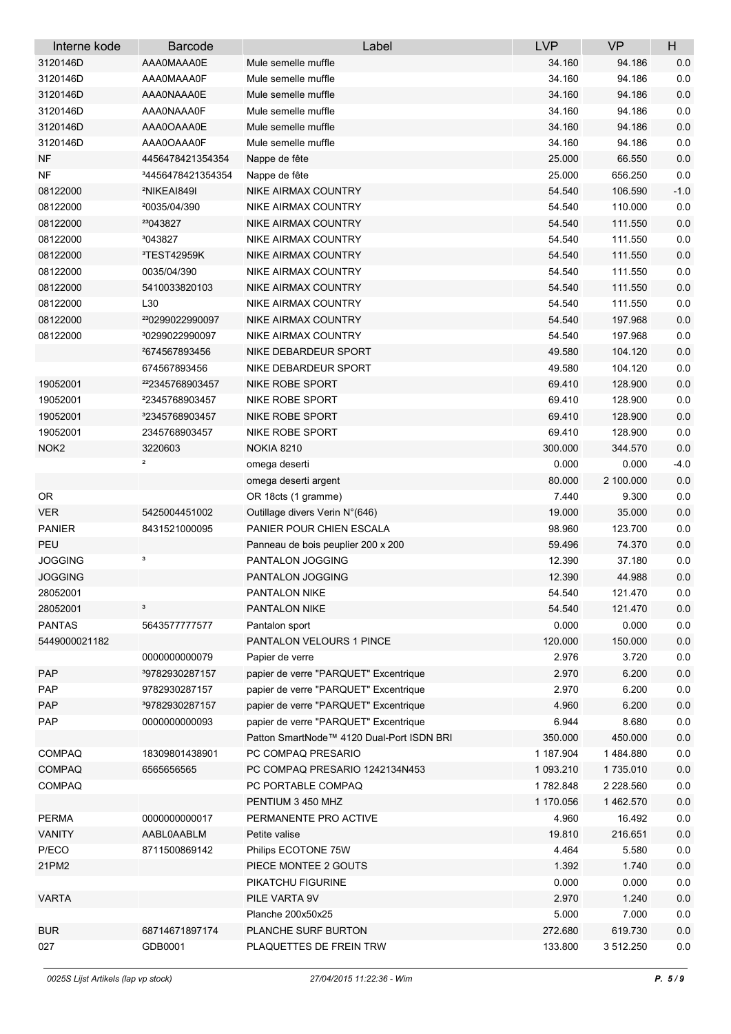| Interne kode     | <b>Barcode</b>                | Label                                     | <b>LVP</b> | <b>VP</b> | H       |
|------------------|-------------------------------|-------------------------------------------|------------|-----------|---------|
| 3120146D         | AAA0MAAA0E                    | Mule semelle muffle                       | 34.160     | 94.186    | 0.0     |
| 3120146D         | AAA0MAAA0F                    | Mule semelle muffle                       | 34.160     | 94.186    | 0.0     |
| 3120146D         | AAA0NAAA0E                    | Mule semelle muffle                       | 34.160     | 94.186    | 0.0     |
| 3120146D         | AAA0NAAA0F                    | Mule semelle muffle                       | 34.160     | 94.186    | 0.0     |
| 3120146D         | AAA0OAAA0E                    | Mule semelle muffle                       | 34.160     | 94.186    | $0.0\,$ |
| 3120146D         | AAA0OAAA0F                    | Mule semelle muffle                       | 34.160     | 94.186    | 0.0     |
| <b>NF</b>        | 4456478421354354              | Nappe de fête                             | 25.000     | 66.550    | 0.0     |
| NF               | <sup>3</sup> 4456478421354354 | Nappe de fête                             | 25.000     | 656.250   | 0.0     |
| 08122000         | <sup>2</sup> NIKEAI849I       | NIKE AIRMAX COUNTRY                       | 54.540     | 106.590   | $-1.0$  |
| 08122000         | <sup>2</sup> 0035/04/390      | NIKE AIRMAX COUNTRY                       | 54.540     | 110.000   | 0.0     |
| 08122000         | 23043827                      | NIKE AIRMAX COUNTRY                       | 54.540     | 111.550   | $0.0\,$ |
| 08122000         | <sup>3</sup> 043827           | NIKE AIRMAX COUNTRY                       | 54.540     | 111.550   | 0.0     |
| 08122000         | <sup>3</sup> TEST42959K       | NIKE AIRMAX COUNTRY                       | 54.540     | 111.550   | 0.0     |
| 08122000         | 0035/04/390                   | NIKE AIRMAX COUNTRY                       | 54.540     | 111.550   | 0.0     |
| 08122000         | 5410033820103                 | NIKE AIRMAX COUNTRY                       | 54.540     | 111.550   | 0.0     |
| 08122000         | L30                           | NIKE AIRMAX COUNTRY                       | 54.540     | 111.550   | 0.0     |
| 08122000         | <sup>23</sup> 0299022990097   | <b>NIKE AIRMAX COUNTRY</b>                | 54.540     | 197.968   | 0.0     |
| 08122000         | <sup>3</sup> 0299022990097    | NIKE AIRMAX COUNTRY                       | 54.540     | 197.968   | 0.0     |
|                  | 4674567893456                 | NIKE DEBARDEUR SPORT                      | 49.580     | 104.120   | $0.0\,$ |
|                  | 674567893456                  | NIKE DEBARDEUR SPORT                      | 49.580     | 104.120   | 0.0     |
| 19052001         | 222345768903457               | NIKE ROBE SPORT                           | 69.410     | 128.900   | $0.0\,$ |
| 19052001         | <sup>2</sup> 2345768903457    | NIKE ROBE SPORT                           | 69.410     | 128.900   | $0.0\,$ |
| 19052001         | <sup>3</sup> 2345768903457    | NIKE ROBE SPORT                           | 69.410     | 128.900   | 0.0     |
| 19052001         | 2345768903457                 | NIKE ROBE SPORT                           | 69.410     | 128.900   | 0.0     |
| NOK <sub>2</sub> | 3220603                       | <b>NOKIA 8210</b>                         | 300.000    | 344.570   | 0.0     |
|                  | $\overline{\mathbf{2}}$       | omega deserti                             | 0.000      | 0.000     | $-4.0$  |
|                  |                               | omega deserti argent                      | 80.000     | 2 100.000 | 0.0     |
| OR.              |                               | OR 18cts (1 gramme)                       | 7.440      | 9.300     | 0.0     |
| <b>VER</b>       | 5425004451002                 | Outillage divers Verin N°(646)            | 19.000     | 35.000    | 0.0     |
| <b>PANIER</b>    | 8431521000095                 | PANIER POUR CHIEN ESCALA                  | 98.960     | 123.700   | 0.0     |
| PEU              |                               | Panneau de bois peuplier 200 x 200        | 59.496     | 74.370    | $0.0\,$ |
| <b>JOGGING</b>   | з                             | PANTALON JOGGING                          | 12.390     | 37.180    | $0.0\,$ |
| <b>JOGGING</b>   |                               | PANTALON JOGGING                          | 12.390     | 44.988    | $0.0\,$ |
| 28052001         |                               | PANTALON NIKE                             | 54.540     | 121.470   | 0.0     |
| 28052001         | 3                             | PANTALON NIKE                             | 54.540     | 121.470   | 0.0     |
| <b>PANTAS</b>    | 5643577777577                 | Pantalon sport                            | 0.000      | 0.000     | 0.0     |
| 5449000021182    |                               | PANTALON VELOURS 1 PINCE                  | 120.000    | 150.000   | $0.0\,$ |
|                  | 000000000079                  | Papier de verre                           | 2.976      | 3.720     | 0.0     |
| PAP              | <sup>3</sup> 9782930287157    | papier de verre "PARQUET" Excentrique     | 2.970      | 6.200     | 0.0     |
| PAP              | 9782930287157                 | papier de verre "PARQUET" Excentrique     | 2.970      | 6.200     | 0.0     |
| PAP              | <sup>3</sup> 9782930287157    | papier de verre "PARQUET" Excentrique     | 4.960      | 6.200     | $0.0\,$ |
| PAP              | 0000000000093                 | papier de verre "PARQUET" Excentrique     | 6.944      | 8.680     | 0.0     |
|                  |                               | Patton SmartNode™ 4120 Dual-Port ISDN BRI | 350.000    | 450.000   | $0.0\,$ |
| <b>COMPAQ</b>    | 18309801438901                | PC COMPAQ PRESARIO                        | 1 187.904  | 1484.880  | $0.0\,$ |
| <b>COMPAQ</b>    | 6565656565                    | PC COMPAQ PRESARIO 1242134N453            | 1 093.210  | 1735.010  | 0.0     |
| <b>COMPAQ</b>    |                               | PC PORTABLE COMPAQ                        | 1782.848   | 2 228.560 | 0.0     |
|                  |                               | PENTIUM 3 450 MHZ                         | 1 170.056  | 1462.570  | $0.0\,$ |
| <b>PERMA</b>     | 0000000000017                 | PERMANENTE PRO ACTIVE                     | 4.960      | 16.492    | $0.0\,$ |
| <b>VANITY</b>    | AABL0AABLM                    | Petite valise                             | 19.810     | 216.651   | $0.0\,$ |
| P/ECO            | 8711500869142                 | Philips ECOTONE 75W                       | 4.464      | 5.580     | $0.0\,$ |
| 21PM2            |                               | PIECE MONTEE 2 GOUTS                      | 1.392      | 1.740     | 0.0     |
|                  |                               | PIKATCHU FIGURINE                         | 0.000      | 0.000     | 0.0     |
| <b>VARTA</b>     |                               | PILE VARTA 9V                             | 2.970      | 1.240     | 0.0     |
|                  |                               | Planche 200x50x25                         | 5.000      | 7.000     | $0.0\,$ |
| <b>BUR</b>       | 68714671897174                | PLANCHE SURF BURTON                       | 272.680    | 619.730   | $0.0\,$ |
| 027              | GDB0001                       | PLAQUETTES DE FREIN TRW                   | 133.800    | 3 512.250 | 0.0     |
|                  |                               |                                           |            |           |         |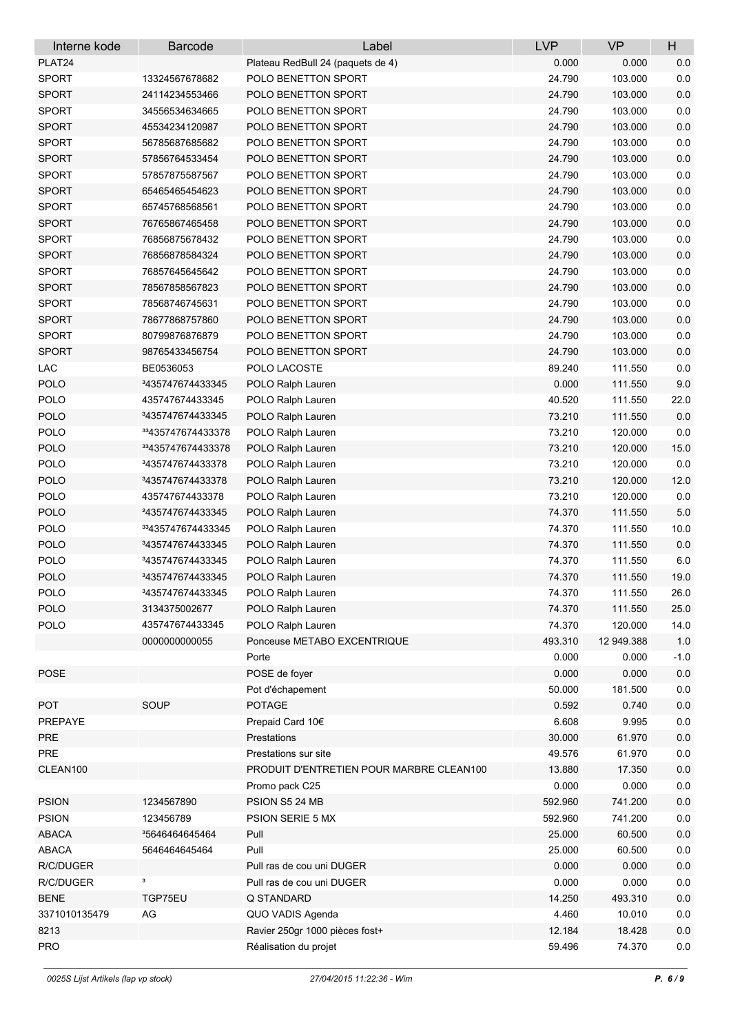| Interne kode  | <b>Barcode</b>                   | Label                                    | <b>LVP</b> | <b>VP</b>  | H       |
|---------------|----------------------------------|------------------------------------------|------------|------------|---------|
| PLAT24        |                                  | Plateau RedBull 24 (paquets de 4)        | 0.000      | 0.000      | 0.0     |
| <b>SPORT</b>  | 13324567678682                   | POLO BENETTON SPORT                      | 24.790     | 103.000    | 0.0     |
| <b>SPORT</b>  | 24114234553466                   | POLO BENETTON SPORT                      | 24.790     | 103.000    | 0.0     |
| <b>SPORT</b>  | 34556534634665                   | POLO BENETTON SPORT                      | 24.790     | 103.000    | 0.0     |
| <b>SPORT</b>  | 45534234120987                   | POLO BENETTON SPORT                      | 24.790     | 103.000    | 0.0     |
| <b>SPORT</b>  | 56785687685682                   | POLO BENETTON SPORT                      | 24.790     | 103.000    | 0.0     |
| <b>SPORT</b>  | 57856764533454                   | POLO BENETTON SPORT                      | 24.790     | 103.000    | 0.0     |
| <b>SPORT</b>  | 57857875587567                   | POLO BENETTON SPORT                      | 24.790     | 103.000    | $0.0\,$ |
| <b>SPORT</b>  | 65465465454623                   | POLO BENETTON SPORT                      | 24.790     | 103.000    | 0.0     |
| <b>SPORT</b>  | 65745768568561                   | POLO BENETTON SPORT                      | 24.790     | 103.000    | $0.0\,$ |
| <b>SPORT</b>  | 76765867465458                   | POLO BENETTON SPORT                      | 24.790     | 103.000    | 0.0     |
| <b>SPORT</b>  | 76856875678432                   | POLO BENETTON SPORT                      | 24.790     | 103.000    | $0.0\,$ |
| <b>SPORT</b>  | 76856878584324                   | POLO BENETTON SPORT                      | 24.790     | 103.000    | 0.0     |
| <b>SPORT</b>  | 76857645645642                   | POLO BENETTON SPORT                      | 24.790     | 103.000    | $0.0\,$ |
| <b>SPORT</b>  | 78567858567823                   | POLO BENETTON SPORT                      | 24.790     | 103.000    | 0.0     |
| <b>SPORT</b>  | 78568746745631                   | POLO BENETTON SPORT                      | 24.790     | 103.000    | $0.0\,$ |
| <b>SPORT</b>  | 78677868757860                   | POLO BENETTON SPORT                      | 24.790     | 103.000    | 0.0     |
| <b>SPORT</b>  | 80799876876879                   | POLO BENETTON SPORT                      | 24.790     | 103.000    | $0.0\,$ |
| <b>SPORT</b>  | 98765433456754                   | POLO BENETTON SPORT                      | 24.790     | 103.000    | 0.0     |
| LAC           | BE0536053                        | POLO LACOSTE                             | 89.240     | 111.550    | 0.0     |
| <b>POLO</b>   | 3435747674433345                 | POLO Ralph Lauren                        | 0.000      | 111.550    | 9.0     |
| POLO          | 435747674433345                  | POLO Ralph Lauren                        | 40.520     | 111.550    | 22.0    |
| <b>POLO</b>   | <sup>3</sup> 435747674433345     | POLO Ralph Lauren                        | 73.210     | 111.550    | 0.0     |
| POLO          | <sup>33</sup> 435747674433378    | POLO Ralph Lauren                        | 73.210     | 120.000    | $0.0\,$ |
| <b>POLO</b>   | <sup>33</sup> 435747674433378    | POLO Ralph Lauren                        | 73.210     | 120.000    | 15.0    |
| POLO          | <sup>3</sup> 435747674433378     | POLO Ralph Lauren                        | 73.210     | 120.000    | 0.0     |
| <b>POLO</b>   | <sup>3</sup> 435747674433378     | POLO Ralph Lauren                        | 73.210     | 120.000    | 12.0    |
| <b>POLO</b>   | 435747674433378                  | POLO Ralph Lauren                        | 73.210     | 120.000    | 0.0     |
| <b>POLO</b>   | <sup>2</sup> 435747674433345     | POLO Ralph Lauren                        | 74.370     | 111.550    | 5.0     |
| POLO          | <sup>33</sup> 435747674433345    |                                          | 74.370     | 111.550    | 10.0    |
| <b>POLO</b>   | <sup>3</sup> 435747674433345     | POLO Ralph Lauren                        | 74.370     | 111.550    | $0.0\,$ |
| <b>POLO</b>   | <sup>3</sup> 435747674433345     | POLO Ralph Lauren<br>POLO Ralph Lauren   | 74.370     | 111.550    | 6.0     |
| <b>POLO</b>   | <sup>3</sup> 435747674433345     |                                          | 74.370     | 111.550    | 19.0    |
| POLO          | 3435747674433345                 | POLO Ralph Lauren<br>POLO Ralph Lauren   | 74.370     | 111.550    | 26.0    |
|               |                                  |                                          |            |            |         |
| <b>POLO</b>   | 3134375002677<br>435747674433345 | POLO Ralph Lauren                        | 74.370     | 111.550    | 25.0    |
| POLO          |                                  | POLO Ralph Lauren                        | 74.370     | 120.000    | 14.0    |
|               | 0000000000055                    | Ponceuse METABO EXCENTRIQUE              | 493.310    | 12 949.388 | 1.0     |
|               |                                  | Porte                                    | 0.000      | 0.000      | $-1.0$  |
| POSE          |                                  | POSE de foyer                            | 0.000      | 0.000      | 0.0     |
|               |                                  | Pot d'échapement                         | 50.000     | 181.500    | $0.0\,$ |
| <b>POT</b>    | SOUP                             | <b>POTAGE</b>                            | 0.592      | 0.740      | $0.0\,$ |
| PREPAYE       |                                  | Prepaid Card 10€                         | 6.608      | 9.995      | $0.0\,$ |
| PRE           |                                  | Prestations                              | 30.000     | 61.970     | $0.0\,$ |
| <b>PRE</b>    |                                  | Prestations sur site                     | 49.576     | 61.970     | $0.0\,$ |
| CLEAN100      |                                  | PRODUIT D'ENTRETIEN POUR MARBRE CLEAN100 | 13.880     | 17.350     | $0.0\,$ |
|               |                                  | Promo pack C25                           | 0.000      | 0.000      | $0.0\,$ |
| <b>PSION</b>  | 1234567890                       | PSION S5 24 MB                           | 592.960    | 741.200    | $0.0\,$ |
| <b>PSION</b>  | 123456789                        | PSION SERIE 5 MX                         | 592.960    | 741.200    | $0.0\,$ |
| <b>ABACA</b>  | <sup>3</sup> 5646464645464       | Pull                                     | 25.000     | 60.500     | $0.0\,$ |
| ABACA         | 5646464645464                    | Pull                                     | 25.000     | 60.500     | 0.0     |
| R/C/DUGER     |                                  | Pull ras de cou uni DUGER                | 0.000      | 0.000      | $0.0\,$ |
| R/C/DUGER     | 3                                | Pull ras de cou uni DUGER                | 0.000      | 0.000      | $0.0\,$ |
| <b>BENE</b>   | TGP75EU                          | Q STANDARD                               | 14.250     | 493.310    | $0.0\,$ |
| 3371010135479 | AG                               | QUO VADIS Agenda                         | 4.460      | 10.010     | $0.0\,$ |
| 8213          |                                  | Ravier 250gr 1000 pièces fost+           | 12.184     | 18.428     | $0.0\,$ |
| <b>PRO</b>    |                                  | Réalisation du projet                    | 59.496     | 74.370     | $0.0\,$ |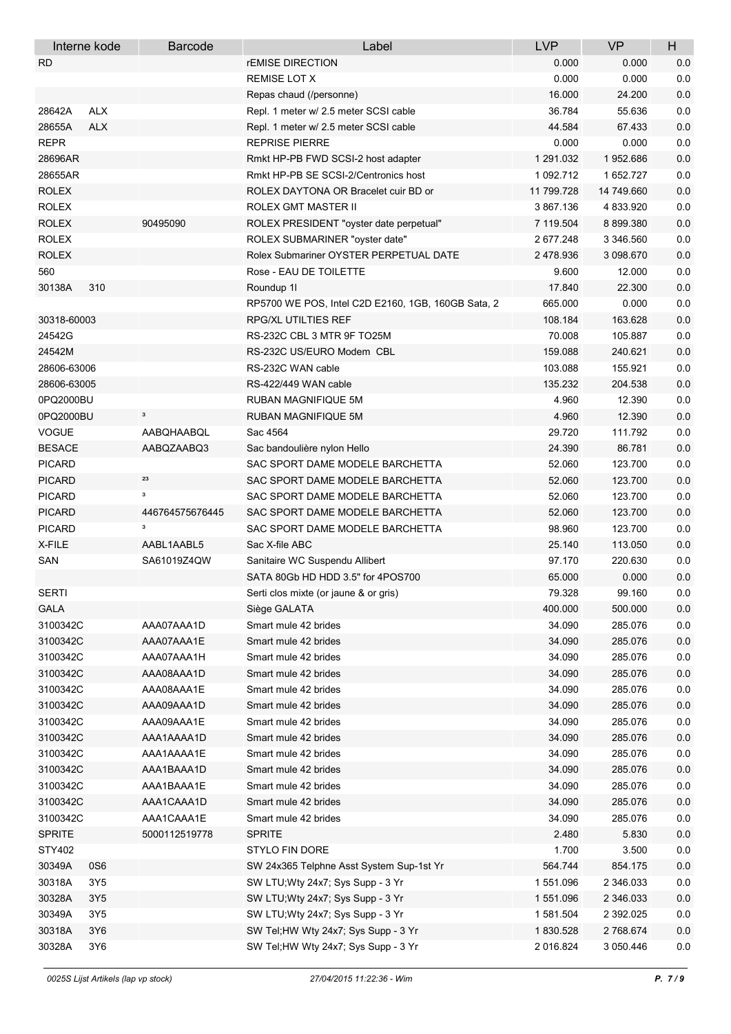| Interne kode         | <b>Barcode</b>           | Label                                              | <b>LVP</b>        | <b>VP</b>          | H              |
|----------------------|--------------------------|----------------------------------------------------|-------------------|--------------------|----------------|
| RD.                  |                          | <b><i>FEMISE DIRECTION</i></b>                     | 0.000             | 0.000              | 0.0            |
|                      |                          | <b>REMISE LOT X</b>                                | 0.000             | 0.000              | 0.0            |
|                      |                          | Repas chaud (/personne)                            | 16.000            | 24.200             | $0.0\,$        |
| <b>ALX</b><br>28642A |                          | Repl. 1 meter w/ 2.5 meter SCSI cable              | 36.784            | 55.636             | 0.0            |
| <b>ALX</b><br>28655A |                          | Repl. 1 meter w/ 2.5 meter SCSI cable              | 44.584            | 67.433             | 0.0            |
| <b>REPR</b>          |                          | <b>REPRISE PIERRE</b>                              | 0.000             | 0.000              | 0.0            |
| 28696AR              |                          | Rmkt HP-PB FWD SCSI-2 host adapter                 | 1 291 032         | 1952.686           | 0.0            |
| 28655AR              |                          | Rmkt HP-PB SE SCSI-2/Centronics host               | 1 092.712         | 1 652.727          | 0.0            |
| <b>ROLEX</b>         |                          | ROLEX DAYTONA OR Bracelet cuir BD or               | 11 799.728        | 14 749.660         | 0.0            |
| <b>ROLEX</b>         |                          | ROLEX GMT MASTER II                                | 3 867 136         | 4 833 920          | 0.0            |
| <b>ROLEX</b>         | 90495090                 | ROLEX PRESIDENT "oyster date perpetual"            | 7 119.504         | 8 899.380          | 0.0            |
| <b>ROLEX</b>         |                          | ROLEX SUBMARINER "oyster date"                     | 2 677.248         | 3 346 560          | 0.0            |
| <b>ROLEX</b>         |                          | Rolex Submariner OYSTER PERPETUAL DATE             | 2478.936          | 3 098 670          | $0.0\,$        |
| 560                  |                          | Rose - EAU DE TOILETTE                             | 9.600             | 12.000             | 0.0            |
| 30138A<br>310        |                          | Roundup 1                                          | 17.840            | 22.300             | $0.0\,$        |
|                      |                          | RP5700 WE POS, Intel C2D E2160, 1GB, 160GB Sata, 2 | 665.000           | 0.000              | 0.0            |
| 30318-60003          |                          | <b>RPG/XL UTILTIES REF</b>                         | 108.184           | 163.628            | 0.0            |
| 24542G               |                          | RS-232C CBL 3 MTR 9F TO25M                         | 70.008            | 105.887            | 0.0            |
| 24542M               |                          | RS-232C US/EURO Modem CBL                          | 159.088           | 240.621            | 0.0            |
| 28606-63006          |                          | RS-232C WAN cable                                  | 103.088           | 155.921            | 0.0            |
| 28606-63005          |                          | RS-422/449 WAN cable                               | 135.232           | 204.538            | 0.0            |
| 0PQ2000BU            |                          | RUBAN MAGNIFIQUE 5M                                | 4.960             | 12.390             | 0.0            |
| 0PQ2000BU            | $\mathbf 3$              | RUBAN MAGNIFIQUE 5M                                | 4.960             | 12.390             | 0.0            |
| <b>VOGUE</b>         | AABQHAABQL               | Sac 4564                                           | 29.720            | 111.792            | 0.0            |
| <b>BESACE</b>        | AABQZAABQ3               | Sac bandoulière nylon Hello                        | 24.390            | 86.781             | $0.0\,$        |
| <b>PICARD</b>        |                          | SAC SPORT DAME MODELE BARCHETTA                    | 52.060            | 123.700            | 0.0            |
| <b>PICARD</b>        | 23                       | SAC SPORT DAME MODELE BARCHETTA                    | 52.060            | 123.700            | 0.0            |
| <b>PICARD</b>        | з                        | SAC SPORT DAME MODELE BARCHETTA                    | 52.060            | 123.700            | 0.0            |
| <b>PICARD</b>        | 446764575676445          | SAC SPORT DAME MODELE BARCHETTA                    | 52.060            | 123.700            | 0.0            |
| <b>PICARD</b>        | з                        | SAC SPORT DAME MODELE BARCHETTA                    | 98.960            | 123.700            | 0.0            |
| X-FILE               | AABL1AABL5               | Sac X-file ABC                                     | 25.140            | 113.050            | 0.0            |
| SAN                  | SA61019Z4QW              | Sanitaire WC Suspendu Allibert                     | 97.170            | 220.630            | 0.0            |
|                      |                          | SATA 80Gb HD HDD 3.5" for 4POS700                  | 65.000            | 0.000              | 0.0            |
|                      |                          |                                                    | 79.328            |                    |                |
| SERTI<br><b>GALA</b> |                          | Serti clos mixte (or jaune & or gris)              |                   | 99.160             | 0.0<br>$0.0\,$ |
| 3100342C             | AAA07AAA1D               | Siège GALATA<br>Smart mule 42 brides               | 400.000<br>34.090 | 500.000<br>285.076 | $0.0\,$        |
| 3100342C             |                          |                                                    |                   |                    |                |
|                      | AAA07AAA1E               | Smart mule 42 brides                               | 34.090            | 285.076            | $0.0\,$        |
| 3100342C             | AAA07AAA1H<br>AAA08AAA1D | Smart mule 42 brides                               | 34.090            | 285.076            | 0.0            |
| 3100342C             |                          | Smart mule 42 brides                               | 34.090            | 285.076            | $0.0\,$        |
| 3100342C             | AAA08AAA1E               | Smart mule 42 brides                               | 34.090            | 285.076<br>285.076 | 0.0            |
| 3100342C             | AAA09AAA1D               | Smart mule 42 brides                               | 34.090            | 285.076            | $0.0\,$        |
| 3100342C             | AAA09AAA1E               | Smart mule 42 brides                               | 34.090            |                    | $0.0\,$        |
| 3100342C             | AAA1AAAA1D               | Smart mule 42 brides                               | 34.090            | 285.076            | $0.0\,$        |
| 3100342C             | AAA1AAAA1E               | Smart mule 42 brides                               | 34.090            | 285.076            | $0.0\,$        |
| 3100342C             | AAA1BAAA1D               | Smart mule 42 brides                               | 34.090            | 285.076            | 0.0            |
| 3100342C             | AAA1BAAA1E               | Smart mule 42 brides                               | 34.090            | 285.076            | 0.0            |
| 3100342C             | AAA1CAAA1D               | Smart mule 42 brides                               | 34.090            | 285.076            | $0.0\,$        |
| 3100342C             | AAA1CAAA1E               | Smart mule 42 brides                               | 34.090            | 285.076            | 0.0            |
| <b>SPRITE</b>        | 5000112519778            | <b>SPRITE</b>                                      | 2.480             | 5.830              | $0.0\,$        |
| STY402               |                          | STYLO FIN DORE                                     | 1.700             | 3.500              | 0.0            |
| 0S6<br>30349A        |                          | SW 24x365 Telphne Asst System Sup-1st Yr           | 564.744           | 854.175            | 0.0            |
| 30318A<br>3Y5        |                          | SW LTU; Wty 24x7; Sys Supp - 3 Yr                  | 1551.096          | 2 346 033          | 0.0            |
| 30328A<br>3Y5        |                          | SW LTU; Wty 24x7; Sys Supp - 3 Yr                  | 1 551 096         | 2 346 033          | $0.0\,$        |
| 30349A<br>3Y5        |                          | SW LTU; Wty 24x7; Sys Supp - 3 Yr                  | 1581.504          | 2 392.025          | $0.0\,$        |
| 30318A<br>3Y6        |                          | SW Tel; HW Wty 24x7; Sys Supp - 3 Yr               | 1830.528          | 2768.674           | $0.0\,$        |
| 30328A<br>3Y6        |                          | SW Tel; HW Wty 24x7; Sys Supp - 3 Yr               | 2 016.824         | 3 050.446          | 0.0            |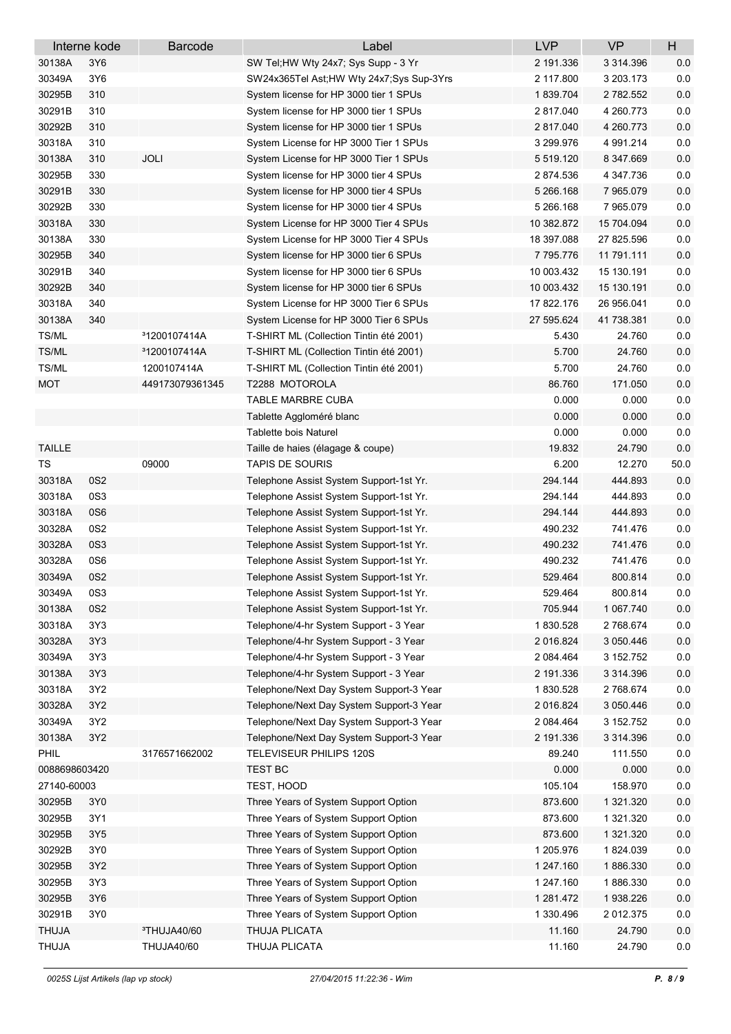|               | Interne kode    | <b>Barcode</b>           | Label                                    | <b>LVP</b> | <b>VP</b>       | H       |
|---------------|-----------------|--------------------------|------------------------------------------|------------|-----------------|---------|
| 30138A        | 3Y6             |                          | SW Tel;HW Wty 24x7; Sys Supp - 3 Yr      | 2 191.336  | 3 3 1 4 . 3 9 6 | 0.0     |
| 30349A        | 3Y6             |                          | SW24x365Tel Ast;HW Wty 24x7;Sys Sup-3Yrs | 2 117.800  | 3 203 173       | 0.0     |
| 30295B        | 310             |                          | System license for HP 3000 tier 1 SPUs   | 1839.704   | 2 782.552       | $0.0\,$ |
| 30291B        | 310             |                          | System license for HP 3000 tier 1 SPUs   | 2817.040   | 4 260.773       | 0.0     |
| 30292B        | 310             |                          | System license for HP 3000 tier 1 SPUs   | 2817.040   | 4 260 773       | 0.0     |
| 30318A        | 310             |                          | System License for HP 3000 Tier 1 SPUs   | 3 299 976  | 4 991.214       | 0.0     |
| 30138A        | 310             | <b>JOLI</b>              | System License for HP 3000 Tier 1 SPUs   | 5 519.120  | 8 347.669       | 0.0     |
| 30295B        | 330             |                          | System license for HP 3000 tier 4 SPUs   | 2874.536   | 4 347.736       | 0.0     |
| 30291B        | 330             |                          | System license for HP 3000 tier 4 SPUs   | 5 266.168  | 7 965 079       | 0.0     |
| 30292B        | 330             |                          | System license for HP 3000 tier 4 SPUs   | 5 266 168  | 7 965 079       | 0.0     |
| 30318A        | 330             |                          | System License for HP 3000 Tier 4 SPUs   | 10 382.872 | 15 704 094      | 0.0     |
| 30138A        | 330             |                          | System License for HP 3000 Tier 4 SPUs   | 18 397.088 | 27 825.596      | 0.0     |
| 30295B        | 340             |                          | System license for HP 3000 tier 6 SPUs   | 7795.776   | 11 791.111      | $0.0\,$ |
| 30291B        | 340             |                          | System license for HP 3000 tier 6 SPUs   | 10 003.432 | 15 130.191      | $0.0\,$ |
| 30292B        | 340             |                          | System license for HP 3000 tier 6 SPUs   | 10 003.432 | 15 130.191      | $0.0\,$ |
| 30318A        | 340             |                          | System License for HP 3000 Tier 6 SPUs   | 17 822.176 | 26 956 041      | $0.0\,$ |
| 30138A        | 340             |                          | System License for HP 3000 Tier 6 SPUs   | 27 595 624 | 41 738.381      | 0.0     |
| TS/ML         |                 | <sup>3</sup> 1200107414A | T-SHIRT ML (Collection Tintin été 2001)  | 5.430      | 24.760          | 0.0     |
| TS/ML         |                 | <sup>3</sup> 1200107414A | T-SHIRT ML (Collection Tintin été 2001)  | 5.700      | 24.760          | $0.0\,$ |
| TS/ML         |                 | 1200107414A              | T-SHIRT ML (Collection Tintin été 2001)  | 5.700      | 24.760          | 0.0     |
| <b>MOT</b>    |                 | 449173079361345          | T2288 MOTOROLA                           | 86.760     | 171.050         | 0.0     |
|               |                 |                          | TABLE MARBRE CUBA                        | 0.000      | 0.000           | $0.0\,$ |
|               |                 |                          | Tablette Aggloméré blanc                 | 0.000      | 0.000           | 0.0     |
|               |                 |                          | <b>Tablette bois Naturel</b>             | 0.000      | 0.000           | 0.0     |
| <b>TAILLE</b> |                 |                          | Taille de haies (élagage & coupe)        | 19.832     | 24.790          | 0.0     |
| TS            |                 | 09000                    | <b>TAPIS DE SOURIS</b>                   | 6.200      | 12.270          | 50.0    |
| 30318A        | 0S <sub>2</sub> |                          | Telephone Assist System Support-1st Yr.  | 294.144    | 444.893         | 0.0     |
| 30318A        | 0S3             |                          | Telephone Assist System Support-1st Yr.  | 294.144    | 444.893         | 0.0     |
| 30318A        | 0S6             |                          | Telephone Assist System Support-1st Yr.  | 294.144    | 444.893         | 0.0     |
| 30328A        | 0S2             |                          | Telephone Assist System Support-1st Yr.  | 490.232    | 741.476         | 0.0     |
| 30328A        | 0S3             |                          | Telephone Assist System Support-1st Yr.  | 490.232    | 741.476         | 0.0     |
| 30328A        | 0S6             |                          | Telephone Assist System Support-1st Yr.  | 490.232    | 741.476         | 0.0     |
| 30349A        | 0S2             |                          | Telephone Assist System Support-1st Yr.  | 529.464    | 800.814         | 0.0     |
| 30349A        | 0S3             |                          | Telephone Assist System Support-1st Yr.  | 529.464    | 800.814         | 0.0     |
| 30138A        | 0S2             |                          | Telephone Assist System Support-1st Yr.  | 705.944    | 1 067.740       | $0.0\,$ |
| 30318A        | 3Y3             |                          | Telephone/4-hr System Support - 3 Year   | 1830.528   | 2768.674        | 0.0     |
| 30328A        | 3Y3             |                          | Telephone/4-hr System Support - 3 Year   | 2 016.824  | 3 050 446       | $0.0\,$ |
| 30349A        | 3Y3             |                          | Telephone/4-hr System Support - 3 Year   | 2 084.464  | 3 152.752       | $0.0\,$ |
| 30138A        | 3Y3             |                          | Telephone/4-hr System Support - 3 Year   | 2 191.336  | 3 314.396       | 0.0     |
| 30318A        | 3Y2             |                          | Telephone/Next Day System Support-3 Year | 1830.528   | 2768.674        | $0.0\,$ |
| 30328A        | 3Y2             |                          | Telephone/Next Day System Support-3 Year | 2016.824   | 3 050 446       | $0.0\,$ |
| 30349A        | 3Y2             |                          | Telephone/Next Day System Support-3 Year | 2 084.464  | 3 152.752       | 0.0     |
| 30138A        | 3Y2             |                          | Telephone/Next Day System Support-3 Year | 2 191.336  | 3 3 1 4 3 9 6   | $0.0\,$ |
| PHIL          |                 | 3176571662002            | TELEVISEUR PHILIPS 120S                  | 89.240     | 111.550         | $0.0\,$ |
| 0088698603420 |                 |                          | <b>TEST BC</b>                           | 0.000      | 0.000           | $0.0\,$ |
| 27140-60003   |                 |                          | TEST, HOOD                               | 105.104    | 158.970         | 0.0     |
| 30295B        | 3Y0             |                          | Three Years of System Support Option     | 873.600    | 1 321.320       | $0.0\,$ |
| 30295B        | 3Y1             |                          | Three Years of System Support Option     | 873.600    | 1 321.320       | $0.0\,$ |
| 30295B        | 3Y5             |                          | Three Years of System Support Option     | 873.600    | 1 321.320       | $0.0\,$ |
| 30292B        | 3Y0             |                          | Three Years of System Support Option     | 1 205.976  | 1824.039        | 0.0     |
| 30295B        | 3Y2             |                          | Three Years of System Support Option     | 1 247.160  | 1886.330        | $0.0\,$ |
| 30295B        | 3Y3             |                          | Three Years of System Support Option     | 1 247.160  | 1886.330        | $0.0\,$ |
| 30295B        | 3Y6             |                          | Three Years of System Support Option     | 1 281.472  | 1938.226        | $0.0\,$ |
| 30291B        | 3Y0             |                          | Three Years of System Support Option     | 1 330.496  | 2 012.375       | 0.0     |
| <b>THUJA</b>  |                 | <sup>3</sup> THUJA40/60  | THUJA PLICATA                            | 11.160     | 24.790          | $0.0\,$ |
| THUJA         |                 | THUJA40/60               | THUJA PLICATA                            | 11.160     | 24.790          | $0.0\,$ |
|               |                 |                          |                                          |            |                 |         |